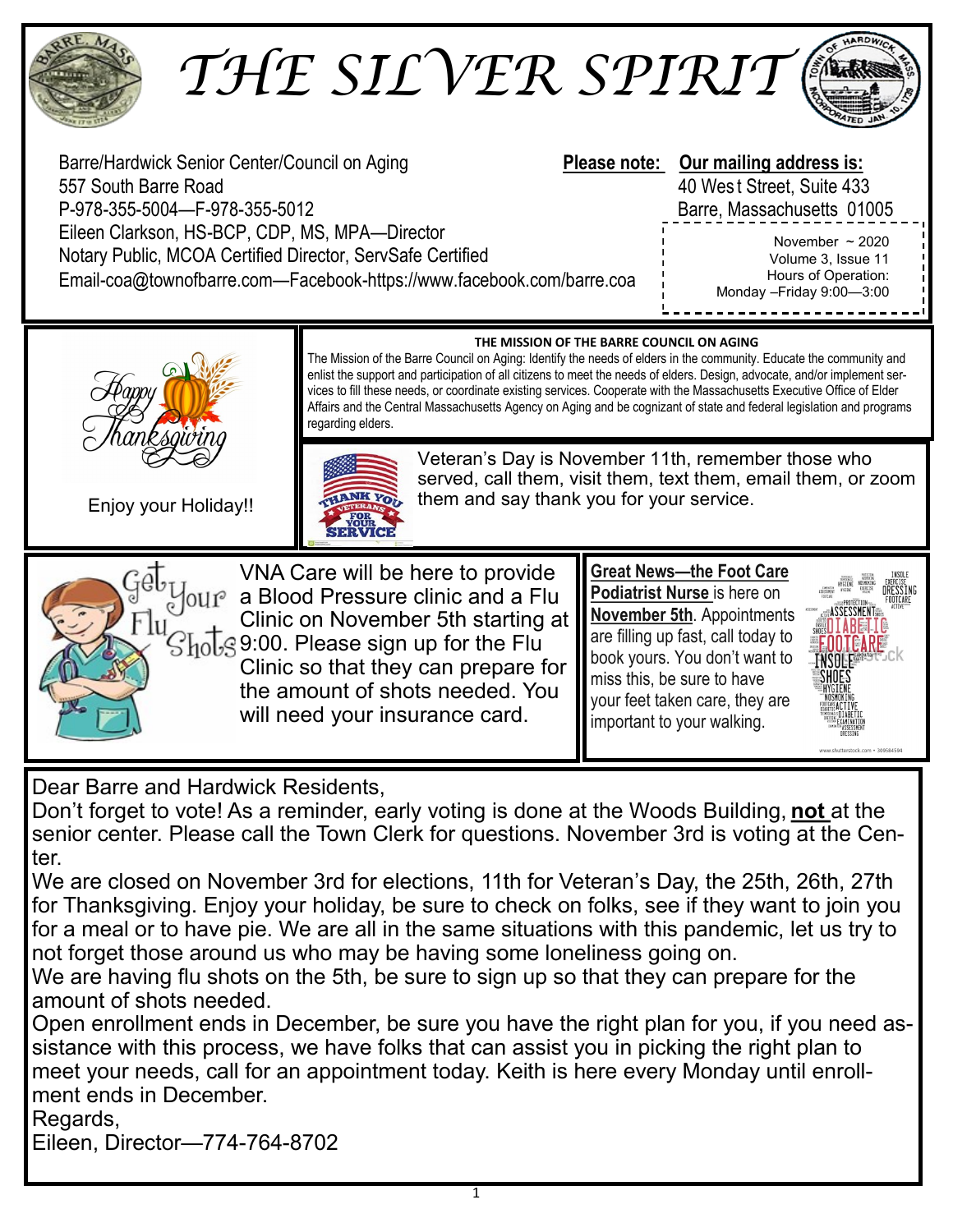

Eileen, Director—774-764-8702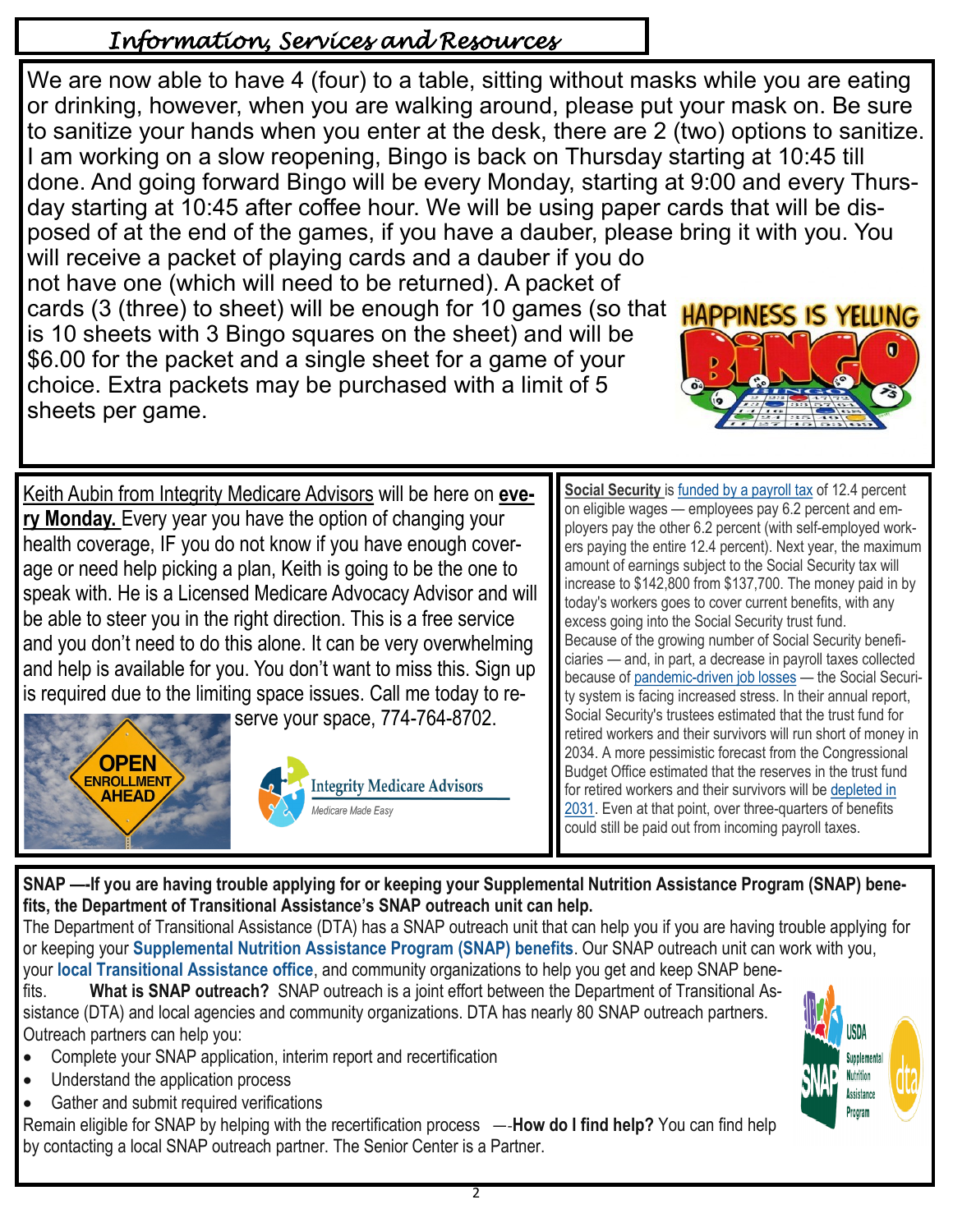## *Information, Services and Resources*

We are now able to have 4 (four) to a table, sitting without masks while you are eating or drinking, however, when you are walking around, please put your mask on. Be sure to sanitize your hands when you enter at the desk, there are 2 (two) options to sanitize. I am working on a slow reopening, Bingo is back on Thursday starting at 10:45 till done. And going forward Bingo will be every Monday, starting at 9:00 and every Thursday starting at 10:45 after coffee hour. We will be using paper cards that will be disposed of at the end of the games, if you have a dauber, please bring it with you. You will receive a packet of playing cards and a dauber if you do not have one (which will need to be returned). A packet of cards (3 (three) to sheet) will be enough for 10 games (so that **HAPPINESS IS YELLING** is 10 sheets with 3 Bingo squares on the sheet) and will be \$6.00 for the packet and a single sheet for a game of your choice. Extra packets may be purchased with a limit of 5 sheets per game.

Keith Aubin from Integrity Medicare Advisors will be here on **every Monday.** Every year you have the option of changing your health coverage, IF you do not know if you have enough coverage or need help picking a plan, Keith is going to be the one to speak with. He is a Licensed Medicare Advocacy Advisor and will be able to steer you in the right direction. This is a free service and you don't need to do this alone. It can be very overwhelming and help is available for you. You don't want to miss this. Sign up is required due to the limiting space issues. Call me today to re-





**Social Security** is [funded by a payroll tax](https://www.aarp.org/retirement/social-security/questions-answers/how-is-social-security-funded/) of 12.4 percent on eligible wages — employees pay 6.2 percent and employers pay the other 6.2 percent (with self-employed workers paying the entire 12.4 percent). Next year, the maximum amount of earnings subject to the Social Security tax will increase to \$142,800 from \$137,700. The money paid in by today's workers goes to cover current benefits, with any excess going into the Social Security trust fund. Because of the growing number of Social Security beneficiaries — and, in part, a decrease in payroll taxes collected because of [pandemic-driven job losses](https://www.aarp.org/work/job-search/info-2020/september-unemployment-rate.html) — the Social Security system is facing increased stress. In their annual report, Social Security's trustees estimated that the trust fund for retired workers and their survivors will run short of money in 2034. A more pessimistic forecast from the Congressional Budget Office estimated that the reserves in the trust fund for retired workers and their survivors will be [depleted in](https://www.aarp.org/retirement/social-security/info-2020/benefits-trust-fund-runs-out-by-2031.html)  [2031.](https://www.aarp.org/retirement/social-security/info-2020/benefits-trust-fund-runs-out-by-2031.html) Even at that point, over three-quarters of benefits could still be paid out from incoming payroll taxes.

## **SNAP —-If you are having trouble applying for or keeping your Supplemental Nutrition Assistance Program (SNAP) benefits, the Department of Transitional Assistance's SNAP outreach unit can help.**

The Department of Transitional Assistance (DTA) has a SNAP outreach unit that can help you if you are having trouble applying for or keeping your **[Supplemental Nutrition Assistance Program \(SNAP\) benefits](https://www.mass.gov/snap-benefits-formerly-known-as-food-stamps)**. Our SNAP outreach unit can work with you, your **[local Transitional Assistance office](https://www.mass.gov/orgs/department-of-transitional-assistance/locations?_page=1)**, and community organizations to help you get and keep SNAP bene-

fits. **What is SNAP outreach?** SNAP outreach is a joint effort between the Department of Transitional Assistance (DTA) and local agencies and community organizations. DTA has nearly 80 SNAP outreach partners. Outreach partners can help you:

- Complete your SNAP application, interim report and recertification
- Understand the application process
- Gather and submit required verifications

Remain eligible for SNAP by helping with the recertification process —-**How do I find help?** You can find help by contacting a local SNAP outreach partner. The Senior Center is a Partner.

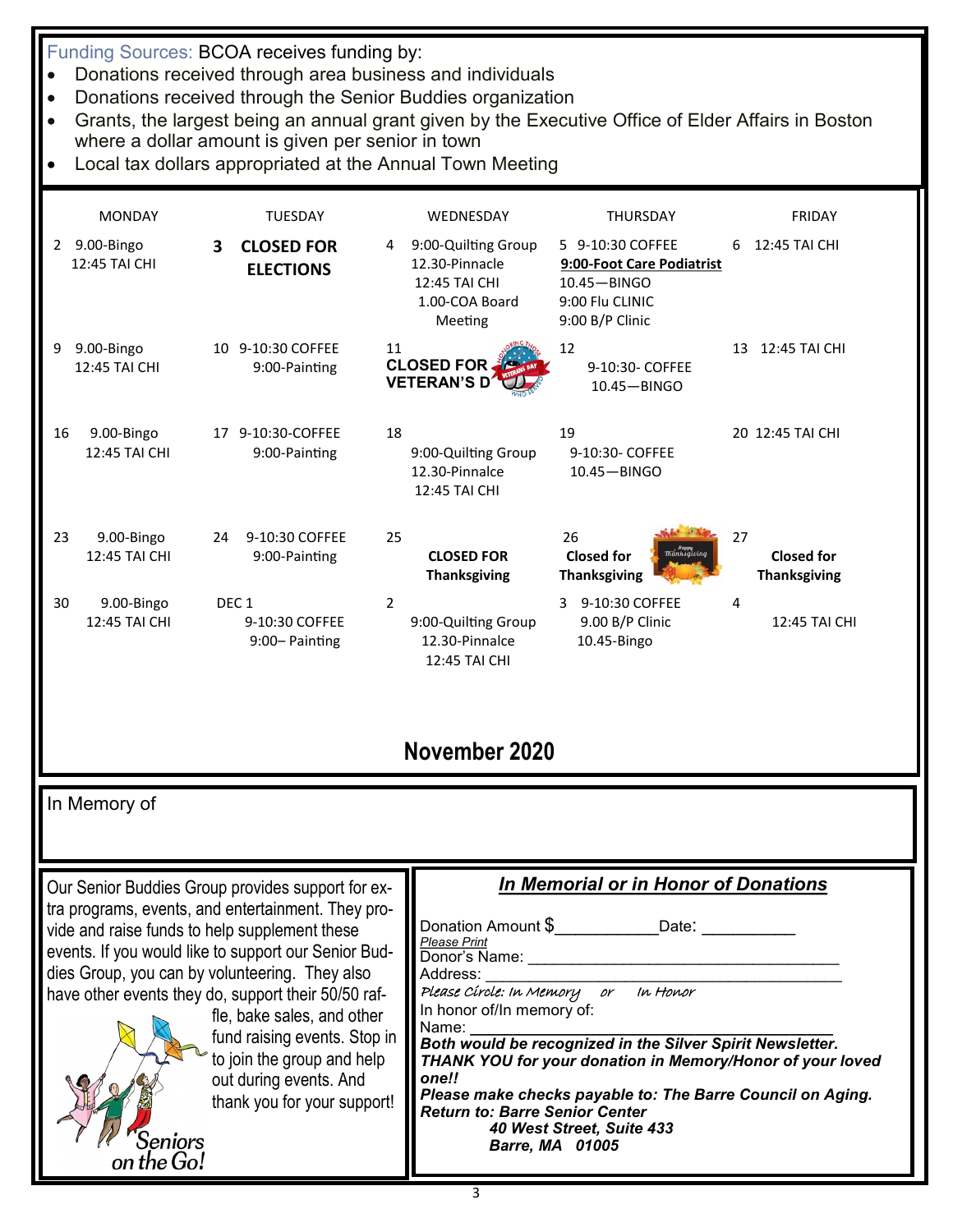Funding Sources: BCOA receives funding by:

- Donations received through area business and individuals
- Donations received through the Senior Buddies organization
- Grants, the largest being an annual grant given by the Executive Office of Elder Affairs in Boston where a dollar amount is given per senior in town
- Local tax dollars appropriated at the Annual Town Meeting

|                                                                                                                                                                                                                                                                    | <b>MONDAY</b>                 |                  | <b>TUESDAY</b>                        |                | WEDNESDAY                                                                                                                                                                                                                                                                                                                                                                   | THURSDAY                                                                                             |    | <b>FRIDAY</b>                            |
|--------------------------------------------------------------------------------------------------------------------------------------------------------------------------------------------------------------------------------------------------------------------|-------------------------------|------------------|---------------------------------------|----------------|-----------------------------------------------------------------------------------------------------------------------------------------------------------------------------------------------------------------------------------------------------------------------------------------------------------------------------------------------------------------------------|------------------------------------------------------------------------------------------------------|----|------------------------------------------|
|                                                                                                                                                                                                                                                                    | 2 9.00-Bingo<br>12:45 TAI CHI | 3                | <b>CLOSED FOR</b><br><b>ELECTIONS</b> | 4              | 9:00-Quilting Group<br>12.30-Pinnacle<br>12:45 TAI CHI<br>1.00-COA Board<br>Meeting                                                                                                                                                                                                                                                                                         | 5 9-10:30 COFFEE<br>9:00-Foot Care Podiatrist<br>10.45 - BINGO<br>9:00 Flu CLINIC<br>9:00 B/P Clinic | 6  | 12:45 TAI CHI                            |
| 9                                                                                                                                                                                                                                                                  | 9.00-Bingo<br>12:45 TAI CHI   |                  | 10 9-10:30 COFFEE<br>9:00-Painting    | 11             | <b>CLOSED FOR</b><br><b>VETERAN'S D</b>                                                                                                                                                                                                                                                                                                                                     | 12<br>9-10:30- COFFEE<br>10.45-BINGO                                                                 |    | 13 12:45 TAI CHI                         |
| 16                                                                                                                                                                                                                                                                 | 9.00-Bingo<br>12:45 TAI CHI   |                  | 17 9-10:30-COFFEE<br>9:00-Painting    | 18             | 9:00-Quilting Group<br>12.30-Pinnalce<br>12:45 TAI CHI                                                                                                                                                                                                                                                                                                                      | 19<br>9-10:30- COFFEE<br>10.45 - BINGO                                                               |    | 20 12:45 TAI CHI                         |
| 23                                                                                                                                                                                                                                                                 | 9.00-Bingo<br>12:45 TAI CHI   | 24               | 9-10:30 COFFEE<br>9:00-Painting       | 25             | <b>CLOSED FOR</b><br><b>Thanksgiving</b>                                                                                                                                                                                                                                                                                                                                    | 26<br><b><i>Thanksgiving</i></b><br><b>Closed for</b><br><b>Thanksgiving</b>                         | 27 | <b>Closed for</b><br><b>Thanksgiving</b> |
| 30                                                                                                                                                                                                                                                                 | 9.00-Bingo<br>12:45 TAI CHI   | DEC <sub>1</sub> | 9-10:30 COFFEE<br>9:00- Painting      | $\overline{2}$ | 9:00-Quilting Group<br>12.30-Pinnalce<br>12:45 TAI CHI<br>November 2020                                                                                                                                                                                                                                                                                                     | 3 9-10:30 COFFEE<br>9.00 B/P Clinic<br>10.45-Bingo                                                   | 4  | 12:45 TAI CHI                            |
|                                                                                                                                                                                                                                                                    |                               |                  |                                       |                |                                                                                                                                                                                                                                                                                                                                                                             |                                                                                                      |    |                                          |
| In Memory of                                                                                                                                                                                                                                                       |                               |                  |                                       |                |                                                                                                                                                                                                                                                                                                                                                                             |                                                                                                      |    |                                          |
|                                                                                                                                                                                                                                                                    |                               |                  |                                       |                |                                                                                                                                                                                                                                                                                                                                                                             |                                                                                                      |    |                                          |
| Our Senior Buddies Group provides support for ex-<br>tra programs, events, and entertainment. They pro-<br>vide and raise funds to help supplement these<br>events. If you would like to support our Senior Bud-<br>dies Group, you can by volunteering. They also |                               |                  |                                       |                | In Memorial or in Honor of Donations<br>Donation Amount \$ Date:<br>Please Print<br>Address:                                                                                                                                                                                                                                                                                |                                                                                                      |    |                                          |
| have other events they do, support their 50/50 raf-<br>fle, bake sales, and other<br>fund raising events. Stop in<br>to join the group and help<br>out during events. And<br>thank you for your support!<br>Seniors                                                |                               |                  |                                       |                | Please Círcle: In Memory or In Honor<br>In honor of/In memory of:<br>Name:<br>Both would be recognized in the Silver Spirit Newsletter.<br>THANK YOU for your donation in Memory/Honor of your loved<br>one!!<br>Please make checks payable to: The Barre Council on Aging.<br><b>Return to: Barre Senior Center</b><br>40 West Street, Suite 433<br><b>Barre, MA 01005</b> |                                                                                                      |    |                                          |
|                                                                                                                                                                                                                                                                    | on the Go!                    |                  |                                       |                |                                                                                                                                                                                                                                                                                                                                                                             |                                                                                                      |    |                                          |